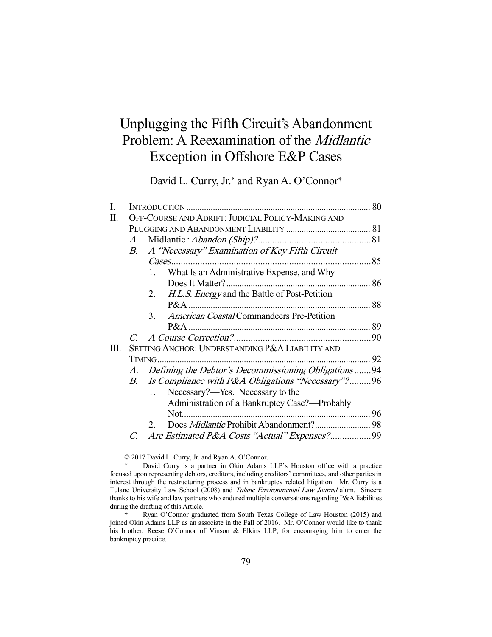# Unplugging the Fifth Circuit's Abandonment Problem: A Reexamination of the Midlantic Exception in Offshore E&P Cases

David L. Curry, Jr.\* and Ryan A. O'Connor†

| I. |                                                   |                                                        |  |
|----|---------------------------------------------------|--------------------------------------------------------|--|
| Π. | OFF-COURSE AND ADRIFT: JUDICIAL POLICY-MAKING AND |                                                        |  |
|    |                                                   |                                                        |  |
|    | $A_{\cdot}$                                       |                                                        |  |
|    | B.                                                | A "Necessary" Examination of Key Fifth Circuit         |  |
|    |                                                   |                                                        |  |
|    |                                                   | What Is an Administrative Expense, and Why<br>1.       |  |
|    |                                                   |                                                        |  |
|    |                                                   | H.L.S. Energy and the Battle of Post-Petition<br>2.    |  |
|    |                                                   |                                                        |  |
|    |                                                   | <i>American Coastal</i> Commandeers Pre-Petition<br>3. |  |
|    |                                                   |                                                        |  |
|    |                                                   |                                                        |  |
| Ш. |                                                   | SETTING ANCHOR: UNDERSTANDING P&A LIABILITY AND        |  |
|    |                                                   |                                                        |  |
|    | A.                                                | Defining the Debtor's Decommissioning Obligations94    |  |
|    |                                                   | B. Is Compliance with P&A Obligations "Necessary"?96   |  |
|    |                                                   | Necessary?—Yes. Necessary to the<br>1.                 |  |
|    |                                                   | Administration of a Bankruptcy Case?—Probably          |  |
|    |                                                   |                                                        |  |
|    |                                                   | 2.                                                     |  |
|    |                                                   | Are Estimated P&A Costs "Actual" Expenses?99           |  |
|    |                                                   |                                                        |  |

© 2017 David L. Curry, Jr. and Ryan A. O'Connor.

David Curry is a partner in Okin Adams LLP's Houston office with a practice focused upon representing debtors, creditors, including creditors' committees, and other parties in interest through the restructuring process and in bankruptcy related litigation. Mr. Curry is a Tulane University Law School (2008) and Tulane Environmental Law Journal alum. Sincere thanks to his wife and law partners who endured multiple conversations regarding P&A liabilities during the drafting of this Article.

 <sup>†</sup> Ryan O'Connor graduated from South Texas College of Law Houston (2015) and joined Okin Adams LLP as an associate in the Fall of 2016. Mr. O'Connor would like to thank his brother, Reese O'Connor of Vinson & Elkins LLP, for encouraging him to enter the bankruptcy practice.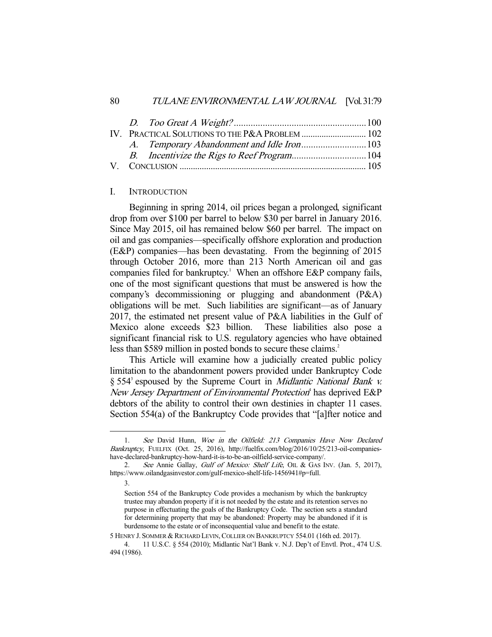#### I. INTRODUCTION

 Beginning in spring 2014, oil prices began a prolonged, significant drop from over \$100 per barrel to below \$30 per barrel in January 2016. Since May 2015, oil has remained below \$60 per barrel. The impact on oil and gas companies—specifically offshore exploration and production (E&P) companies—has been devastating. From the beginning of 2015 through October 2016, more than 213 North American oil and gas companies filed for bankruptcy.<sup>1</sup> When an offshore E&P company fails, one of the most significant questions that must be answered is how the company's decommissioning or plugging and abandonment (P&A) obligations will be met. Such liabilities are significant—as of January 2017, the estimated net present value of P&A liabilities in the Gulf of Mexico alone exceeds \$23 billion. These liabilities also pose a significant financial risk to U.S. regulatory agencies who have obtained less than \$589 million in posted bonds to secure these claims.<sup>2</sup>

 This Article will examine how a judicially created public policy limitation to the abandonment powers provided under Bankruptcy Code § 554<sup>3</sup> espoused by the Supreme Court in *Midlantic National Bank v.* New Jersey Department of Environmental Protection<sup>4</sup> has deprived E&P debtors of the ability to control their own destinies in chapter 11 cases. Section 554(a) of the Bankruptcy Code provides that "[a]fter notice and

-

5 HENRY J. SOMMER & RICHARD LEVIN,COLLIER ON BANKRUPTCY 554.01 (16th ed. 2017).

<sup>1.</sup> See David Hunn, Woe in the Oilfield: 213 Companies Have Now Declared Bankruptcy, FUELFIX (Oct. 25, 2016), http://fuelfix.com/blog/2016/10/25/213-oil-companieshave-declared-bankruptcy-how-hard-it-is-to-be-an-oilfield-service-company/.

<sup>2.</sup> See Annie Gallay, Gulf of Mexico: Shelf Life, OIL & GAS INV. (Jan. 5, 2017), https://www.oilandgasinvestor.com/gulf-mexico-shelf-life-1456941#p=full.

 <sup>3.</sup> 

Section 554 of the Bankruptcy Code provides a mechanism by which the bankruptcy trustee may abandon property if it is not needed by the estate and its retention serves no purpose in effectuating the goals of the Bankruptcy Code. The section sets a standard for determining property that may be abandoned: Property may be abandoned if it is burdensome to the estate or of inconsequential value and benefit to the estate.

 <sup>4. 11</sup> U.S.C. § 554 (2010); Midlantic Nat'l Bank v. N.J. Dep't of Envtl. Prot., 474 U.S. 494 (1986).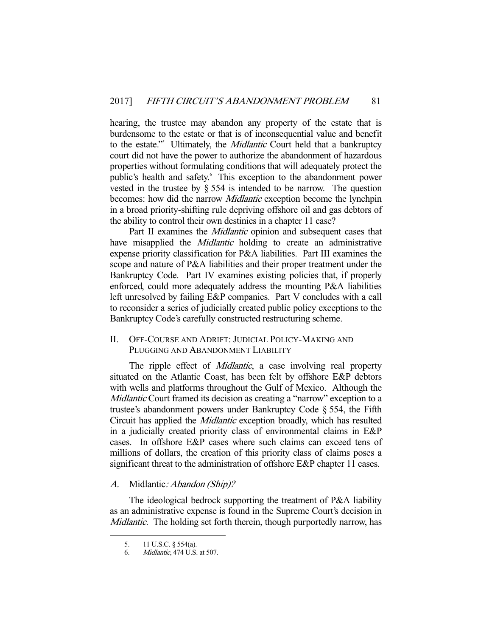hearing, the trustee may abandon any property of the estate that is burdensome to the estate or that is of inconsequential value and benefit to the estate."<sup>5</sup> Ultimately, the *Midlantic* Court held that a bankruptcy court did not have the power to authorize the abandonment of hazardous properties without formulating conditions that will adequately protect the public's health and safety.<sup>6</sup> This exception to the abandonment power vested in the trustee by § 554 is intended to be narrow. The question becomes: how did the narrow *Midlantic* exception become the lynchpin in a broad priority-shifting rule depriving offshore oil and gas debtors of the ability to control their own destinies in a chapter 11 case?

Part II examines the *Midlantic* opinion and subsequent cases that have misapplied the *Midlantic* holding to create an administrative expense priority classification for P&A liabilities. Part III examines the scope and nature of P&A liabilities and their proper treatment under the Bankruptcy Code. Part IV examines existing policies that, if properly enforced, could more adequately address the mounting P&A liabilities left unresolved by failing E&P companies. Part V concludes with a call to reconsider a series of judicially created public policy exceptions to the Bankruptcy Code's carefully constructed restructuring scheme.

II. OFF-COURSE AND ADRIFT: JUDICIAL POLICY-MAKING AND PLUGGING AND ABANDONMENT LIABILITY

The ripple effect of *Midlantic*, a case involving real property situated on the Atlantic Coast, has been felt by offshore E&P debtors with wells and platforms throughout the Gulf of Mexico. Although the Midlantic Court framed its decision as creating a "narrow" exception to a trustee's abandonment powers under Bankruptcy Code § 554, the Fifth Circuit has applied the Midlantic exception broadly, which has resulted in a judicially created priority class of environmental claims in E&P cases. In offshore E&P cases where such claims can exceed tens of millions of dollars, the creation of this priority class of claims poses a significant threat to the administration of offshore E&P chapter 11 cases.

## A. Midlantic: Abandon (Ship)?

 The ideological bedrock supporting the treatment of P&A liability as an administrative expense is found in the Supreme Court's decision in Midlantic. The holding set forth therein, though purportedly narrow, has

 <sup>5. 11</sup> U.S.C. § 554(a).

 <sup>6.</sup> Midlantic, 474 U.S. at 507.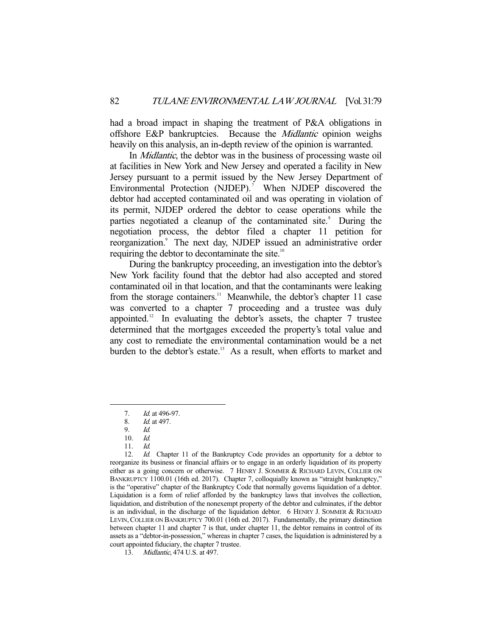had a broad impact in shaping the treatment of P&A obligations in offshore E&P bankruptcies. Because the Midlantic opinion weighs heavily on this analysis, an in-depth review of the opinion is warranted.

 In Midlantic, the debtor was in the business of processing waste oil at facilities in New York and New Jersey and operated a facility in New Jersey pursuant to a permit issued by the New Jersey Department of Environmental Protection (NJDEP).<sup>7</sup> When NJDEP discovered the debtor had accepted contaminated oil and was operating in violation of its permit, NJDEP ordered the debtor to cease operations while the parties negotiated a cleanup of the contaminated site.<sup>8</sup> During the negotiation process, the debtor filed a chapter 11 petition for reorganization.<sup>9</sup> The next day, NJDEP issued an administrative order requiring the debtor to decontaminate the site.<sup>10</sup>

 During the bankruptcy proceeding, an investigation into the debtor's New York facility found that the debtor had also accepted and stored contaminated oil in that location, and that the contaminants were leaking from the storage containers.<sup>11</sup> Meanwhile, the debtor's chapter 11 case was converted to a chapter 7 proceeding and a trustee was duly appointed.<sup>12</sup> In evaluating the debtor's assets, the chapter  $7$  trustee determined that the mortgages exceeded the property's total value and any cost to remediate the environmental contamination would be a net burden to the debtor's estate.<sup>13</sup> As a result, when efforts to market and

<sup>7.</sup> *Id.* at 496-97.

 <sup>8.</sup> Id. at 497.

<sup>9.</sup> *Id.*<br>10. *Id.* 

<sup>10.</sup>  $Id.$ <br>11.  $Id.$ 

 $11.$ 

<sup>12.</sup> *Id.* Chapter 11 of the Bankruptcy Code provides an opportunity for a debtor to reorganize its business or financial affairs or to engage in an orderly liquidation of its property either as a going concern or otherwise. 7 HENRY J. SOMMER & RICHARD LEVIN, COLLIER ON BANKRUPTCY 1100.01 (16th ed. 2017). Chapter 7, colloquially known as "straight bankruptcy," is the "operative" chapter of the Bankruptcy Code that normally governs liquidation of a debtor. Liquidation is a form of relief afforded by the bankruptcy laws that involves the collection, liquidation, and distribution of the nonexempt property of the debtor and culminates, if the debtor is an individual, in the discharge of the liquidation debtor. 6 HENRY J. SOMMER & RICHARD LEVIN,COLLIER ON BANKRUPTCY 700.01 (16th ed. 2017). Fundamentally, the primary distinction between chapter 11 and chapter 7 is that, under chapter 11, the debtor remains in control of its assets as a "debtor-in-possession," whereas in chapter 7 cases, the liquidation is administered by a court appointed fiduciary, the chapter 7 trustee.

 <sup>13.</sup> Midlantic, 474 U.S. at 497.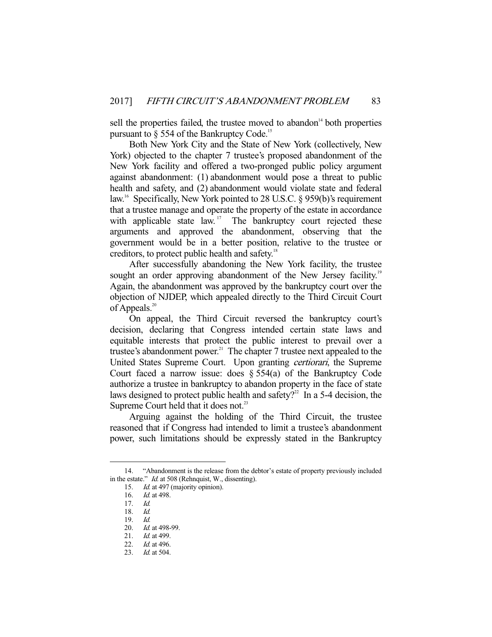sell the properties failed, the trustee moved to abandon $14$  both properties pursuant to  $\S$  554 of the Bankruptcy Code.<sup>15</sup>

 Both New York City and the State of New York (collectively, New York) objected to the chapter 7 trustee's proposed abandonment of the New York facility and offered a two-pronged public policy argument against abandonment: (1) abandonment would pose a threat to public health and safety, and (2) abandonment would violate state and federal law.<sup>16</sup> Specifically, New York pointed to 28 U.S.C. § 959(b)'s requirement that a trustee manage and operate the property of the estate in accordance with applicable state law.<sup>17</sup> The bankruptcy court rejected these arguments and approved the abandonment, observing that the government would be in a better position, relative to the trustee or creditors, to protect public health and safety.18

 After successfully abandoning the New York facility, the trustee sought an order approving abandonment of the New Jersey facility.<sup>19</sup> Again, the abandonment was approved by the bankruptcy court over the objection of NJDEP, which appealed directly to the Third Circuit Court of Appeals. $^{20}$ 

 On appeal, the Third Circuit reversed the bankruptcy court's decision, declaring that Congress intended certain state laws and equitable interests that protect the public interest to prevail over a trustee's abandonment power.<sup>21</sup> The chapter  $7$  trustee next appealed to the United States Supreme Court. Upon granting certiorari, the Supreme Court faced a narrow issue: does  $\S 554(a)$  of the Bankruptcy Code authorize a trustee in bankruptcy to abandon property in the face of state laws designed to protect public health and safety?<sup>22</sup> In a 5-4 decision, the Supreme Court held that it does not.<sup>23</sup>

 Arguing against the holding of the Third Circuit, the trustee reasoned that if Congress had intended to limit a trustee's abandonment power, such limitations should be expressly stated in the Bankruptcy

 <sup>14. &</sup>quot;Abandonment is the release from the debtor's estate of property previously included in the estate." *Id.* at 508 (Rehnquist, W., dissenting).

<sup>15.</sup> *Id.* at 497 (majority opinion).

 <sup>16.</sup> Id. at 498.

 $17$   $Id$ 

 <sup>18.</sup> Id.

 <sup>19.</sup> Id.

<sup>20.</sup> *Id.* at 498-99.

<sup>21.</sup> *Id.* at 499.

<sup>22.</sup> *Id.* at 496.

<sup>23.</sup> *Id.* at 504.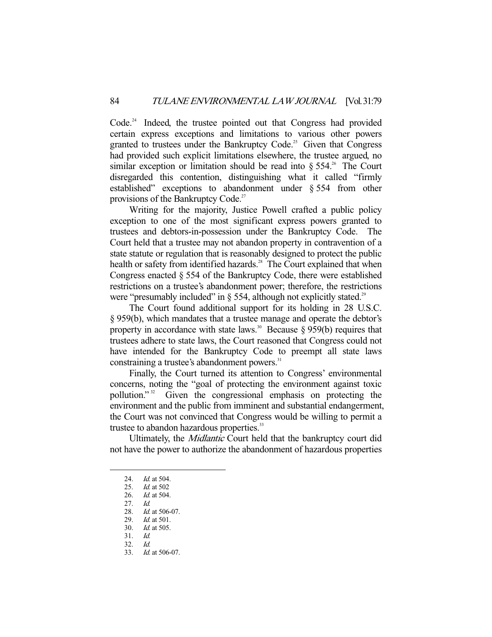Code.<sup>24</sup> Indeed, the trustee pointed out that Congress had provided certain express exceptions and limitations to various other powers granted to trustees under the Bankruptcy Code.<sup>25</sup> Given that Congress had provided such explicit limitations elsewhere, the trustee argued, no similar exception or limitation should be read into  $\S 554$ <sup>26</sup>. The Court disregarded this contention, distinguishing what it called "firmly established" exceptions to abandonment under § 554 from other provisions of the Bankruptcy Code.<sup>27</sup>

 Writing for the majority, Justice Powell crafted a public policy exception to one of the most significant express powers granted to trustees and debtors-in-possession under the Bankruptcy Code. The Court held that a trustee may not abandon property in contravention of a state statute or regulation that is reasonably designed to protect the public health or safety from identified hazards.<sup>28</sup> The Court explained that when Congress enacted § 554 of the Bankruptcy Code, there were established restrictions on a trustee's abandonment power; therefore, the restrictions were "presumably included" in  $\S$  554, although not explicitly stated.<sup>29</sup>

 The Court found additional support for its holding in 28 U.S.C. § 959(b), which mandates that a trustee manage and operate the debtor's property in accordance with state laws.<sup>30</sup> Because § 959(b) requires that trustees adhere to state laws, the Court reasoned that Congress could not have intended for the Bankruptcy Code to preempt all state laws constraining a trustee's abandonment powers.<sup>31</sup>

 Finally, the Court turned its attention to Congress' environmental concerns, noting the "goal of protecting the environment against toxic pollution." 32 Given the congressional emphasis on protecting the environment and the public from imminent and substantial endangerment, the Court was not convinced that Congress would be willing to permit a trustee to abandon hazardous properties.<sup>33</sup>

 Ultimately, the Midlantic Court held that the bankruptcy court did not have the power to authorize the abandonment of hazardous properties

<sup>24.</sup> *Id.* at 504.

 <sup>25.</sup> Id. at 502

 <sup>26.</sup> Id. at 504.

 <sup>27.</sup> Id.

<sup>28.</sup> *Id.* at 506-07.

<sup>29.</sup> *Id.* at 501.

 <sup>30.</sup> Id. at 505.

<sup>31.</sup> *Id.*<br>32. *Id.* 

 $32.33.$ 

Id. at 506-07.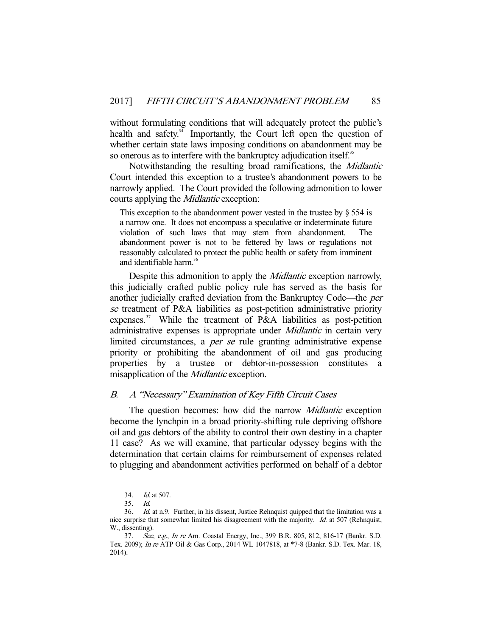without formulating conditions that will adequately protect the public's health and safety.<sup>34</sup> Importantly, the Court left open the question of whether certain state laws imposing conditions on abandonment may be so onerous as to interfere with the bankruptcy adjudication itself.<sup>35</sup>

 Notwithstanding the resulting broad ramifications, the Midlantic Court intended this exception to a trustee's abandonment powers to be narrowly applied. The Court provided the following admonition to lower courts applying the Midlantic exception:

This exception to the abandonment power vested in the trustee by  $\S$  554 is a narrow one. It does not encompass a speculative or indeterminate future violation of such laws that may stem from abandonment. The abandonment power is not to be fettered by laws or regulations not reasonably calculated to protect the public health or safety from imminent and identifiable harm. $36$ 

Despite this admonition to apply the *Midlantic* exception narrowly, this judicially crafted public policy rule has served as the basis for another judicially crafted deviation from the Bankruptcy Code—the per se treatment of P&A liabilities as post-petition administrative priority expenses.<sup>37</sup> While the treatment of P&A liabilities as post-petition administrative expenses is appropriate under Midlantic in certain very limited circumstances, a *per se* rule granting administrative expense priority or prohibiting the abandonment of oil and gas producing properties by a trustee or debtor-in-possession constitutes a misapplication of the *Midlantic* exception.

## B. A "Necessary" Examination of Key Fifth Circuit Cases

The question becomes: how did the narrow *Midlantic* exception become the lynchpin in a broad priority-shifting rule depriving offshore oil and gas debtors of the ability to control their own destiny in a chapter 11 case? As we will examine, that particular odyssey begins with the determination that certain claims for reimbursement of expenses related to plugging and abandonment activities performed on behalf of a debtor

 <sup>34.</sup> Id. at 507.

 <sup>35.</sup> Id.

 <sup>36.</sup> Id. at n.9. Further, in his dissent, Justice Rehnquist quipped that the limitation was a nice surprise that somewhat limited his disagreement with the majority. Id. at 507 (Rehnquist, W., dissenting).

 <sup>37.</sup> See, e.g., In re Am. Coastal Energy, Inc., 399 B.R. 805, 812, 816-17 (Bankr. S.D. Tex. 2009); In re ATP Oil & Gas Corp., 2014 WL 1047818, at \*7-8 (Bankr. S.D. Tex. Mar. 18, 2014).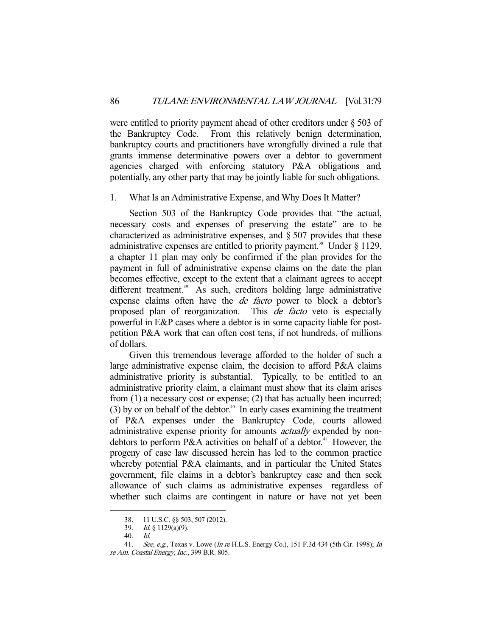were entitled to priority payment ahead of other creditors under § 503 of the Bankruptcy Code. From this relatively benign determination, bankruptcy courts and practitioners have wrongfully divined a rule that grants immense determinative powers over a debtor to government agencies charged with enforcing statutory P&A obligations and, potentially, any other party that may be jointly liable for such obligations.

# 1. What Is an Administrative Expense, and Why Does It Matter?

 Section 503 of the Bankruptcy Code provides that "the actual, necessary costs and expenses of preserving the estate" are to be characterized as administrative expenses, and § 507 provides that these administrative expenses are entitled to priority payment.<sup>38</sup> Under  $\S$  1129, a chapter 11 plan may only be confirmed if the plan provides for the payment in full of administrative expense claims on the date the plan becomes effective, except to the extent that a claimant agrees to accept different treatment.<sup>39</sup> As such, creditors holding large administrative expense claims often have the de facto power to block a debtor's proposed plan of reorganization. This *de facto* veto is especially powerful in E&P cases where a debtor is in some capacity liable for postpetition P&A work that can often cost tens, if not hundreds, of millions of dollars.

 Given this tremendous leverage afforded to the holder of such a large administrative expense claim, the decision to afford P&A claims administrative priority is substantial. Typically, to be entitled to an administrative priority claim, a claimant must show that its claim arises from (1) a necessary cost or expense; (2) that has actually been incurred; (3) by or on behalf of the debtor.<sup>40</sup> In early cases examining the treatment of P&A expenses under the Bankruptcy Code, courts allowed administrative expense priority for amounts *actually* expended by nondebtors to perform P&A activities on behalf of a debtor.<sup>41</sup> However, the progeny of case law discussed herein has led to the common practice whereby potential P&A claimants, and in particular the United States government, file claims in a debtor's bankruptcy case and then seek allowance of such claims as administrative expenses—regardless of whether such claims are contingent in nature or have not yet been

 <sup>38. 11</sup> U.S.C. §§ 503, 507 (2012).

 <sup>39.</sup> Id. § 1129(a)(9).

 <sup>40.</sup> Id.

<sup>41.</sup> See, e.g., Texas v. Lowe (In re H.L.S. Energy Co.), 151 F.3d 434 (5th Cir. 1998); In re Am. Coastal Energy, Inc., 399 B.R. 805.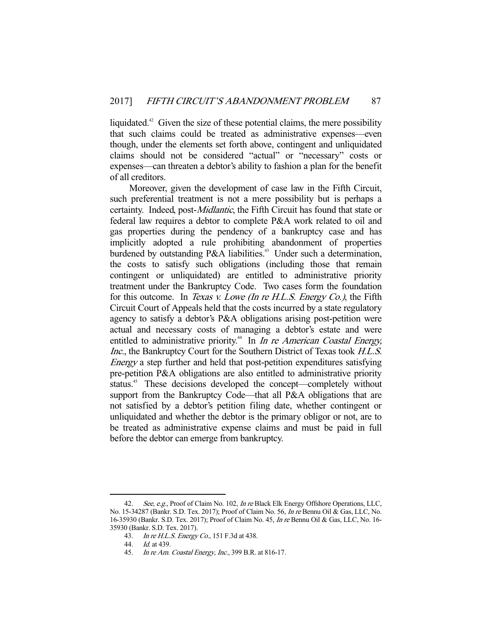liquidated.<sup>42</sup> Given the size of these potential claims, the mere possibility that such claims could be treated as administrative expenses—even though, under the elements set forth above, contingent and unliquidated claims should not be considered "actual" or "necessary" costs or expenses—can threaten a debtor's ability to fashion a plan for the benefit of all creditors.

 Moreover, given the development of case law in the Fifth Circuit, such preferential treatment is not a mere possibility but is perhaps a certainty. Indeed, post-Midlantic, the Fifth Circuit has found that state or federal law requires a debtor to complete P&A work related to oil and gas properties during the pendency of a bankruptcy case and has implicitly adopted a rule prohibiting abandonment of properties burdened by outstanding P&A liabilities.<sup>43</sup> Under such a determination, the costs to satisfy such obligations (including those that remain contingent or unliquidated) are entitled to administrative priority treatment under the Bankruptcy Code. Two cases form the foundation for this outcome. In *Texas v. Lowe (In re H.L.S. Energy Co.)*, the Fifth Circuit Court of Appeals held that the costs incurred by a state regulatory agency to satisfy a debtor's P&A obligations arising post-petition were actual and necessary costs of managing a debtor's estate and were entitled to administrative priority.<sup>44</sup> In *In re American Coastal Energy*, Inc., the Bankruptcy Court for the Southern District of Texas took H.L.S. Energy a step further and held that post-petition expenditures satisfying pre-petition P&A obligations are also entitled to administrative priority status.<sup>45</sup> These decisions developed the concept—completely without support from the Bankruptcy Code—that all P&A obligations that are not satisfied by a debtor's petition filing date, whether contingent or unliquidated and whether the debtor is the primary obligor or not, are to be treated as administrative expense claims and must be paid in full before the debtor can emerge from bankruptcy.

<sup>42.</sup> See, e.g., Proof of Claim No. 102, *In re* Black Elk Energy Offshore Operations, LLC, No. 15-34287 (Bankr. S.D. Tex. 2017); Proof of Claim No. 56, In re Bennu Oil & Gas, LLC, No. 16-35930 (Bankr. S.D. Tex. 2017); Proof of Claim No. 45, In re Bennu Oil & Gas, LLC, No. 16- 35930 (Bankr. S.D. Tex. 2017).

<sup>43.</sup> *In re H.L.S. Energy Co.*, 151 F.3d at 438.<br>44. *Id.* at 439.

Id. at 439.

 <sup>45.</sup> In re Am. Coastal Energy, Inc., 399 B.R. at 816-17.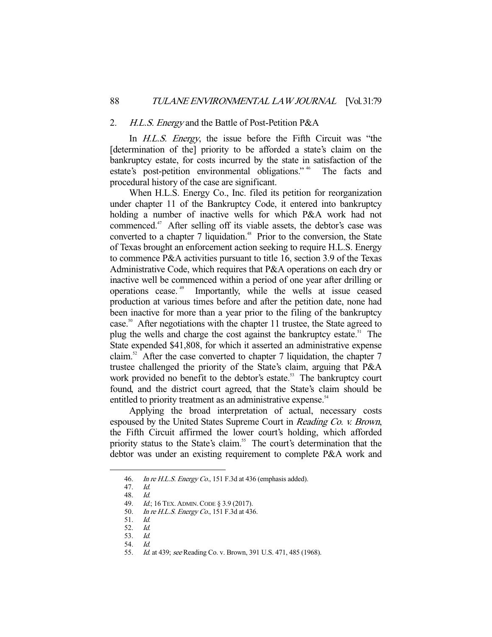#### 2. H.L.S. Energy and the Battle of Post-Petition P&A

In *H.L.S. Energy*, the issue before the Fifth Circuit was "the [determination of the] priority to be afforded a state's claim on the bankruptcy estate, for costs incurred by the state in satisfaction of the estate's post-petition environmental obligations." 46 The facts and procedural history of the case are significant.

 When H.L.S. Energy Co., Inc. filed its petition for reorganization under chapter 11 of the Bankruptcy Code, it entered into bankruptcy holding a number of inactive wells for which P&A work had not commenced.<sup>47</sup> After selling off its viable assets, the debtor's case was converted to a chapter 7 liquidation.<sup>48</sup> Prior to the conversion, the State of Texas brought an enforcement action seeking to require H.L.S. Energy to commence P&A activities pursuant to title 16, section 3.9 of the Texas Administrative Code, which requires that P&A operations on each dry or inactive well be commenced within a period of one year after drilling or operations cease. 49 Importantly, while the wells at issue ceased production at various times before and after the petition date, none had been inactive for more than a year prior to the filing of the bankruptcy case.<sup>50</sup> After negotiations with the chapter 11 trustee, the State agreed to plug the wells and charge the cost against the bankruptcy estate.<sup>51</sup> The State expended \$41,808, for which it asserted an administrative expense claim.<sup>52</sup> After the case converted to chapter 7 liquidation, the chapter 7 trustee challenged the priority of the State's claim, arguing that P&A work provided no benefit to the debtor's estate.<sup>53</sup> The bankruptcy court found, and the district court agreed, that the State's claim should be entitled to priority treatment as an administrative expense.<sup>54</sup>

 Applying the broad interpretation of actual, necessary costs espoused by the United States Supreme Court in Reading Co. v. Brown, the Fifth Circuit affirmed the lower court's holding, which afforded priority status to the State's claim.<sup>55</sup> The court's determination that the debtor was under an existing requirement to complete P&A work and

<sup>46.</sup> In re H.L.S. Energy Co., 151 F.3d at 436 (emphasis added).

 <sup>47.</sup> Id. 48. Id.

<sup>49.</sup> *Id.*; 16 TEX. ADMIN. CODE § 3.9 (2017).

<sup>50.</sup> In re H.L.S. Energy Co., 151 F.3d at 436.

 <sup>51.</sup> Id.

 <sup>52.</sup> Id.

 <sup>53.</sup> Id.

<sup>54.</sup> *Id.*<br>55. *Id.* 

Id. at 439; see Reading Co. v. Brown, 391 U.S. 471, 485 (1968).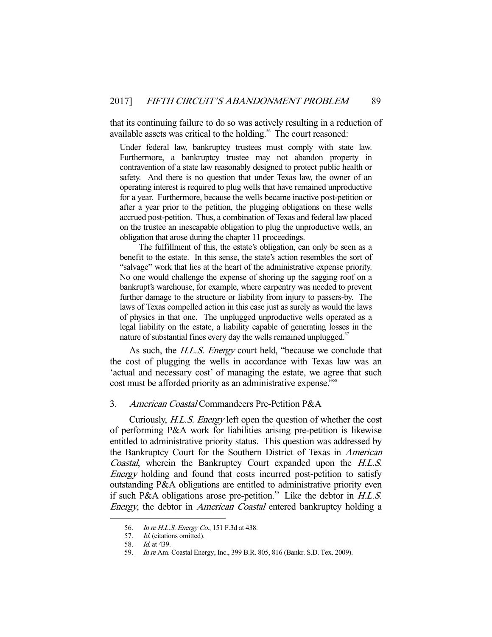that its continuing failure to do so was actively resulting in a reduction of available assets was critical to the holding.<sup>56</sup> The court reasoned:

Under federal law, bankruptcy trustees must comply with state law. Furthermore, a bankruptcy trustee may not abandon property in contravention of a state law reasonably designed to protect public health or safety. And there is no question that under Texas law, the owner of an operating interest is required to plug wells that have remained unproductive for a year. Furthermore, because the wells became inactive post-petition or after a year prior to the petition, the plugging obligations on these wells accrued post-petition. Thus, a combination of Texas and federal law placed on the trustee an inescapable obligation to plug the unproductive wells, an obligation that arose during the chapter 11 proceedings.

 The fulfillment of this, the estate's obligation, can only be seen as a benefit to the estate. In this sense, the state's action resembles the sort of "salvage" work that lies at the heart of the administrative expense priority. No one would challenge the expense of shoring up the sagging roof on a bankrupt's warehouse, for example, where carpentry was needed to prevent further damage to the structure or liability from injury to passers-by. The laws of Texas compelled action in this case just as surely as would the laws of physics in that one. The unplugged unproductive wells operated as a legal liability on the estate, a liability capable of generating losses in the nature of substantial fines every day the wells remained unplugged.<sup>57</sup>

As such, the H.L.S. Energy court held, "because we conclude that the cost of plugging the wells in accordance with Texas law was an 'actual and necessary cost' of managing the estate, we agree that such cost must be afforded priority as an administrative expense."<sup>58</sup>

## 3. American Coastal Commandeers Pre-Petition P&A

 Curiously, H.L.S. Energy left open the question of whether the cost of performing P&A work for liabilities arising pre-petition is likewise entitled to administrative priority status. This question was addressed by the Bankruptcy Court for the Southern District of Texas in American Coastal, wherein the Bankruptcy Court expanded upon the H.L.S. Energy holding and found that costs incurred post-petition to satisfy outstanding P&A obligations are entitled to administrative priority even if such P&A obligations arose pre-petition.<sup>59</sup> Like the debtor in  $H.L.S.$ Energy, the debtor in American Coastal entered bankruptcy holding a

 <sup>56.</sup> In re H.L.S. Energy Co., 151 F.3d at 438.

<sup>57.</sup> *Id.* (citations omitted).<br>58. *Id.* at 439.

*Id.* at 439.

<sup>59.</sup> In re Am. Coastal Energy, Inc., 399 B.R. 805, 816 (Bankr. S.D. Tex. 2009).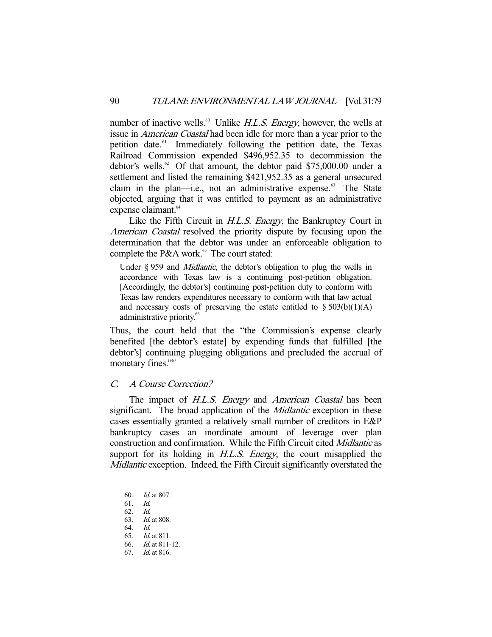number of inactive wells.<sup>60</sup> Unlike  $H.L.S.$  Energy, however, the wells at issue in American Coastal had been idle for more than a year prior to the petition date.<sup>61</sup> Immediately following the petition date, the Texas Railroad Commission expended \$496,952.35 to decommission the debtor's wells.<sup>62</sup> Of that amount, the debtor paid \$75,000.00 under a settlement and listed the remaining \$421,952.35 as a general unsecured claim in the plan—i.e., not an administrative expense. $63$  The State objected, arguing that it was entitled to payment as an administrative expense claimant.<sup>64</sup>

Like the Fifth Circuit in *H.L.S. Energy*, the Bankruptcy Court in American Coastal resolved the priority dispute by focusing upon the determination that the debtor was under an enforceable obligation to complete the P&A work. $65$  The court stated:

Under § 959 and *Midlantic*, the debtor's obligation to plug the wells in accordance with Texas law is a continuing post-petition obligation. [Accordingly, the debtor's] continuing post-petition duty to conform with Texas law renders expenditures necessary to conform with that law actual and necessary costs of preserving the estate entitled to  $\S 503(b)(1)(A)$ administrative priority.<sup>66</sup>

Thus, the court held that the "the Commission's expense clearly benefited [the debtor's estate] by expending funds that fulfilled [the debtor's] continuing plugging obligations and precluded the accrual of monetary fines."<sup>67</sup>

## C. A Course Correction?

The impact of H.L.S. Energy and American Coastal has been significant. The broad application of the *Midlantic* exception in these cases essentially granted a relatively small number of creditors in E&P bankruptcy cases an inordinate amount of leverage over plan construction and confirmation. While the Fifth Circuit cited Midlantic as support for its holding in *H.L.S. Energy*, the court misapplied the Midlantic exception. Indeed, the Fifth Circuit significantly overstated the

 <sup>60.</sup> Id. at 807.

 $61$   $Id$ 

 <sup>62.</sup> Id.

 <sup>63.</sup> Id. at 808.

 <sup>64.</sup> Id.

 <sup>65.</sup> Id. at 811.

 <sup>66.</sup> Id. at 811-12.

 <sup>67.</sup> Id. at 816.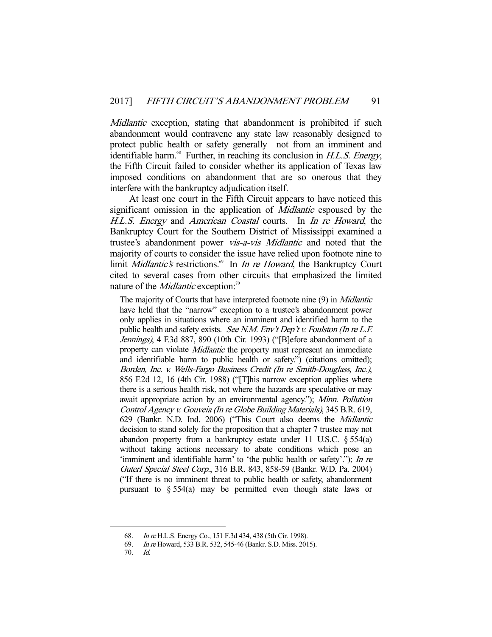Midlantic exception, stating that abandonment is prohibited if such abandonment would contravene any state law reasonably designed to protect public health or safety generally—not from an imminent and identifiable harm. $68$  Further, in reaching its conclusion in H.L.S. Energy, the Fifth Circuit failed to consider whether its application of Texas law imposed conditions on abandonment that are so onerous that they interfere with the bankruptcy adjudication itself.

 At least one court in the Fifth Circuit appears to have noticed this significant omission in the application of *Midlantic* espoused by the H.L.S. Energy and American Coastal courts. In In re Howard, the Bankruptcy Court for the Southern District of Mississippi examined a trustee's abandonment power vis-a-vis Midlantic and noted that the majority of courts to consider the issue have relied upon footnote nine to limit Midlantic's restrictions.<sup>69</sup> In *In re Howard*, the Bankruptcy Court cited to several cases from other circuits that emphasized the limited nature of the *Midlantic* exception:<sup>70</sup>

The majority of Courts that have interpreted footnote nine (9) in *Midlantic* have held that the "narrow" exception to a trustee's abandonment power only applies in situations where an imminent and identified harm to the public health and safety exists. See N.M. Env't Dep't v. Foulston (In re L.F. Jennings), 4 F.3d 887, 890 (10th Cir. 1993) ("[B]efore abandonment of a property can violate *Midlantic* the property must represent an immediate and identifiable harm to public health or safety.") (citations omitted); Borden, Inc. v. Wells-Fargo Business Credit (In re Smith-Douglass, Inc.), 856 F.2d 12, 16 (4th Cir. 1988) ("[T]his narrow exception applies where there is a serious health risk, not where the hazards are speculative or may await appropriate action by an environmental agency."); Minn. Pollution Control Agency v. Gouveia (In re Globe Building Materials), 345 B.R. 619, 629 (Bankr. N.D. Ind. 2006) ("This Court also deems the Midlantic decision to stand solely for the proposition that a chapter 7 trustee may not abandon property from a bankruptcy estate under 11 U.S.C. § 554(a) without taking actions necessary to abate conditions which pose an 'imminent and identifiable harm' to 'the public health or safety'."); In re Guterl Special Steel Corp., 316 B.R. 843, 858-59 (Bankr. W.D. Pa. 2004) ("If there is no imminent threat to public health or safety, abandonment pursuant to § 554(a) may be permitted even though state laws or

 <sup>68.</sup> In re H.L.S. Energy Co., 151 F.3d 434, 438 (5th Cir. 1998).

 <sup>69.</sup> In re Howard, 533 B.R. 532, 545-46 (Bankr. S.D. Miss. 2015).

 <sup>70.</sup> Id.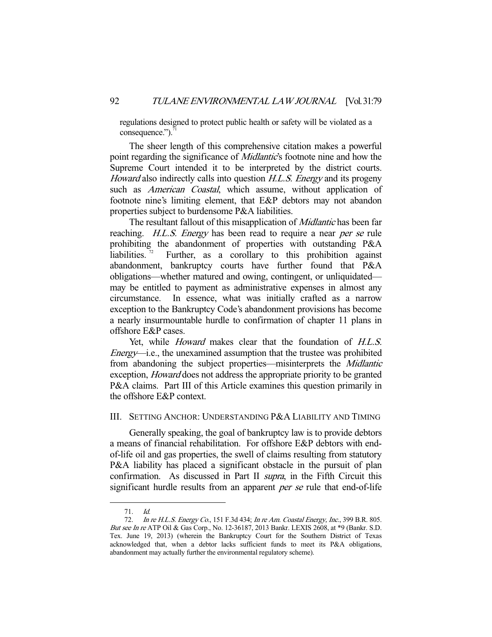regulations designed to protect public health or safety will be violated as a consequence."). $^7$ 

 The sheer length of this comprehensive citation makes a powerful point regarding the significance of *Midlantic*'s footnote nine and how the Supreme Court intended it to be interpreted by the district courts. Howard also indirectly calls into question H.L.S. Energy and its progeny such as *American Coastal*, which assume, without application of footnote nine's limiting element, that E&P debtors may not abandon properties subject to burdensome P&A liabilities.

The resultant fallout of this misapplication of *Midlantic* has been far reaching. *H.L.S. Energy* has been read to require a near *per se* rule prohibiting the abandonment of properties with outstanding P&A liabilities.<sup> $72$ </sup> Further, as a corollary to this prohibition against abandonment, bankruptcy courts have further found that P&A obligations—whether matured and owing, contingent, or unliquidated may be entitled to payment as administrative expenses in almost any circumstance. In essence, what was initially crafted as a narrow exception to the Bankruptcy Code's abandonment provisions has become a nearly insurmountable hurdle to confirmation of chapter 11 plans in offshore E&P cases.

Yet, while *Howard* makes clear that the foundation of *H.L.S.* Energy—i.e., the unexamined assumption that the trustee was prohibited from abandoning the subject properties—misinterprets the Midlantic exception, Howard does not address the appropriate priority to be granted P&A claims. Part III of this Article examines this question primarily in the offshore E&P context.

# III. SETTING ANCHOR: UNDERSTANDING P&A LIABILITY AND TIMING

 Generally speaking, the goal of bankruptcy law is to provide debtors a means of financial rehabilitation. For offshore E&P debtors with endof-life oil and gas properties, the swell of claims resulting from statutory P&A liability has placed a significant obstacle in the pursuit of plan confirmation. As discussed in Part II supra, in the Fifth Circuit this significant hurdle results from an apparent per se rule that end-of-life

 <sup>71.</sup> Id.

<sup>72.</sup> In re H.L.S. Energy Co., 151 F.3d 434; In re Am. Coastal Energy, Inc., 399 B.R. 805. But see In re ATP Oil & Gas Corp., No. 12-36187, 2013 Bankr. LEXIS 2608, at \*9 (Bankr. S.D. Tex. June 19, 2013) (wherein the Bankruptcy Court for the Southern District of Texas acknowledged that, when a debtor lacks sufficient funds to meet its P&A obligations, abandonment may actually further the environmental regulatory scheme).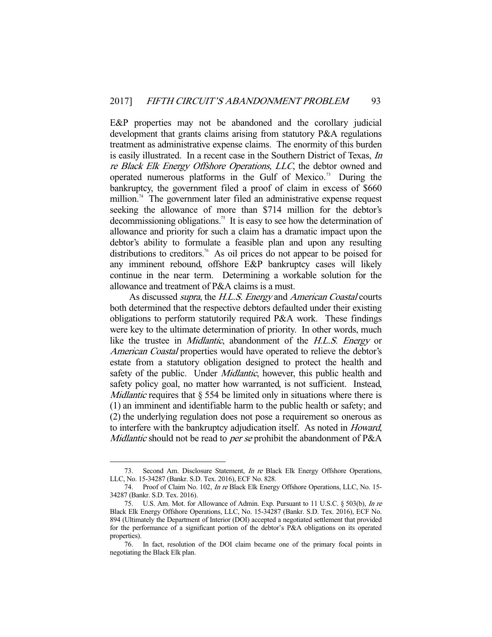E&P properties may not be abandoned and the corollary judicial development that grants claims arising from statutory P&A regulations treatment as administrative expense claims. The enormity of this burden is easily illustrated. In a recent case in the Southern District of Texas, In re Black Elk Energy Offshore Operations, LLC, the debtor owned and operated numerous platforms in the Gulf of Mexico.<sup>73</sup> During the bankruptcy, the government filed a proof of claim in excess of \$660 million.<sup>74</sup> The government later filed an administrative expense request seeking the allowance of more than \$714 million for the debtor's decommissioning obligations.<sup>75</sup> It is easy to see how the determination of allowance and priority for such a claim has a dramatic impact upon the debtor's ability to formulate a feasible plan and upon any resulting distributions to creditors.<sup>76</sup> As oil prices do not appear to be poised for any imminent rebound, offshore E&P bankruptcy cases will likely continue in the near term. Determining a workable solution for the allowance and treatment of P&A claims is a must.

As discussed *supra*, the *H.L.S. Energy* and *American Coastal* courts both determined that the respective debtors defaulted under their existing obligations to perform statutorily required P&A work. These findings were key to the ultimate determination of priority. In other words, much like the trustee in *Midlantic*, abandonment of the H.L.S. Energy or American Coastal properties would have operated to relieve the debtor's estate from a statutory obligation designed to protect the health and safety of the public. Under *Midlantic*, however, this public health and safety policy goal, no matter how warranted, is not sufficient. Instead, *Midlantic* requires that  $\S$  554 be limited only in situations where there is (1) an imminent and identifiable harm to the public health or safety; and (2) the underlying regulation does not pose a requirement so onerous as to interfere with the bankruptcy adjudication itself. As noted in Howard, Midlantic should not be read to *per se* prohibit the abandonment of P&A

 <sup>73.</sup> Second Am. Disclosure Statement, In re Black Elk Energy Offshore Operations, LLC, No. 15-34287 (Bankr. S.D. Tex. 2016), ECF No. 828.

<sup>74.</sup> Proof of Claim No. 102, *In re* Black Elk Energy Offshore Operations, LLC, No. 15-34287 (Bankr. S.D. Tex. 2016).

 <sup>75.</sup> U.S. Am. Mot. for Allowance of Admin. Exp. Pursuant to 11 U.S.C. § 503(b), In re Black Elk Energy Offshore Operations, LLC, No. 15-34287 (Bankr. S.D. Tex. 2016), ECF No. 894 (Ultimately the Department of Interior (DOI) accepted a negotiated settlement that provided for the performance of a significant portion of the debtor's P&A obligations on its operated properties).

 <sup>76.</sup> In fact, resolution of the DOI claim became one of the primary focal points in negotiating the Black Elk plan.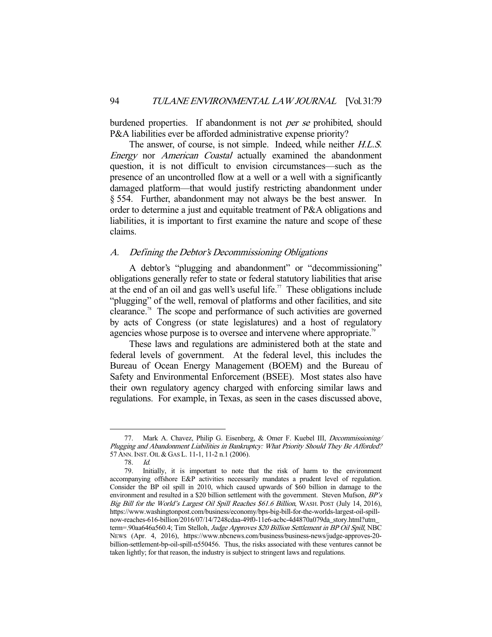burdened properties. If abandonment is not *per se* prohibited, should P&A liabilities ever be afforded administrative expense priority?

The answer, of course, is not simple. Indeed, while neither *H.L.S.* Energy nor American Coastal actually examined the abandonment question, it is not difficult to envision circumstances—such as the presence of an uncontrolled flow at a well or a well with a significantly damaged platform—that would justify restricting abandonment under § 554. Further, abandonment may not always be the best answer. In order to determine a just and equitable treatment of P&A obligations and liabilities, it is important to first examine the nature and scope of these claims.

## A. Defining the Debtor's Decommissioning Obligations

 A debtor's "plugging and abandonment" or "decommissioning" obligations generally refer to state or federal statutory liabilities that arise at the end of an oil and gas well's useful life.<sup>77</sup> These obligations include "plugging" of the well, removal of platforms and other facilities, and site clearance.78 The scope and performance of such activities are governed by acts of Congress (or state legislatures) and a host of regulatory agencies whose purpose is to oversee and intervene where appropriate.<sup>79</sup>

 These laws and regulations are administered both at the state and federal levels of government. At the federal level, this includes the Bureau of Ocean Energy Management (BOEM) and the Bureau of Safety and Environmental Enforcement (BSEE). Most states also have their own regulatory agency charged with enforcing similar laws and regulations. For example, in Texas, as seen in the cases discussed above,

<sup>77.</sup> Mark A. Chavez, Philip G. Eisenberg, & Omer F. Kuebel III, Decommissioning/ Plugging and Abandonment Liabilities in Bankruptcy: What Priority Should They Be Afforded? 57 ANN.INST. OIL & GAS L. 11-1, 11-2 n.1 (2006).

 <sup>78.</sup> Id.

 <sup>79.</sup> Initially, it is important to note that the risk of harm to the environment accompanying offshore E&P activities necessarily mandates a prudent level of regulation. Consider the BP oil spill in 2010, which caused upwards of \$60 billion in damage to the environment and resulted in a \$20 billion settlement with the government. Steven Mufson,  $BP's$ Big Bill for the World's Largest Oil Spill Reaches \$61.6 Billion, WASH. POST (July 14, 2016), https://www.washingtonpost.com/business/economy/bps-big-bill-for-the-worlds-largest-oil-spillnow-reaches-616-billion/2016/07/14/7248cdaa-49f0-11e6-acbc-4d4870a079da\_story.html?utm\_ term=.90aa646a560.4; Tim Stelloh, Judge Approves \$20 Billion Settlement in BP Oil Spill, NBC NEWS (Apr. 4, 2016), https://www.nbcnews.com/business/business-news/judge-approves-20 billion-settlement-bp-oil-spill-n550456. Thus, the risks associated with these ventures cannot be taken lightly; for that reason, the industry is subject to stringent laws and regulations.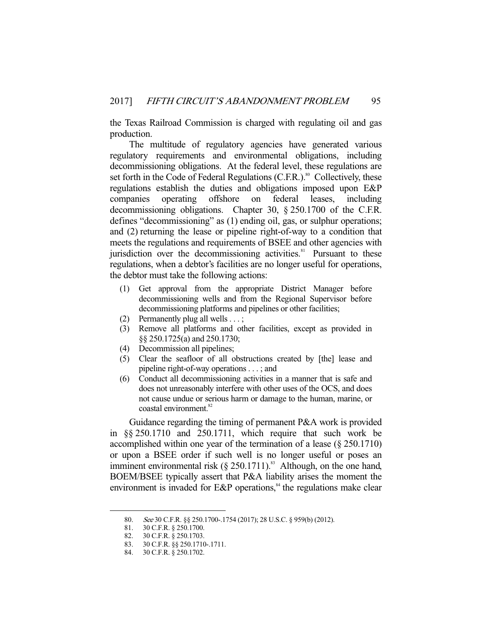the Texas Railroad Commission is charged with regulating oil and gas production.

 The multitude of regulatory agencies have generated various regulatory requirements and environmental obligations, including decommissioning obligations. At the federal level, these regulations are set forth in the Code of Federal Regulations (C.F.R.).<sup>80</sup> Collectively, these regulations establish the duties and obligations imposed upon E&P companies operating offshore on federal leases, including decommissioning obligations. Chapter 30, § 250.1700 of the C.F.R. defines "decommissioning" as (1) ending oil, gas, or sulphur operations; and (2) returning the lease or pipeline right-of-way to a condition that meets the regulations and requirements of BSEE and other agencies with jurisdiction over the decommissioning activities.<sup>81</sup> Pursuant to these regulations, when a debtor's facilities are no longer useful for operations, the debtor must take the following actions:

- (1) Get approval from the appropriate District Manager before decommissioning wells and from the Regional Supervisor before decommissioning platforms and pipelines or other facilities;
- (2) Permanently plug all wells . . . ;
- (3) Remove all platforms and other facilities, except as provided in §§ 250.1725(a) and 250.1730;
- (4) Decommission all pipelines;
- (5) Clear the seafloor of all obstructions created by [the] lease and pipeline right-of-way operations . . . ; and
- (6) Conduct all decommissioning activities in a manner that is safe and does not unreasonably interfere with other uses of the OCS, and does not cause undue or serious harm or damage to the human, marine, or coastal environment.<sup>82</sup>

 Guidance regarding the timing of permanent P&A work is provided in §§ 250.1710 and 250.1711, which require that such work be accomplished within one year of the termination of a lease (§ 250.1710) or upon a BSEE order if such well is no longer useful or poses an imminent environmental risk  $(\S 250.1711)^{83}$  Although, on the one hand, BOEM/BSEE typically assert that P&A liability arises the moment the environment is invaded for  $E\&P$  operations,<sup>84</sup> the regulations make clear

<sup>80.</sup> See 30 C.F.R. §§ 250.1700-.1754 (2017); 28 U.S.C. § 959(b) (2012).

 <sup>81. 30</sup> C.F.R. § 250.1700.

 <sup>82. 30</sup> C.F.R. § 250.1703.

 <sup>83. 30</sup> C.F.R. §§ 250.1710-.1711.

 <sup>84. 30</sup> C.F.R. § 250.1702.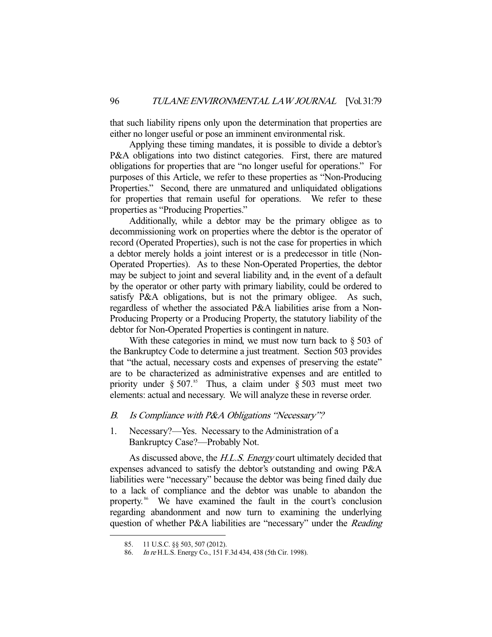that such liability ripens only upon the determination that properties are either no longer useful or pose an imminent environmental risk.

 Applying these timing mandates, it is possible to divide a debtor's P&A obligations into two distinct categories. First, there are matured obligations for properties that are "no longer useful for operations." For purposes of this Article, we refer to these properties as "Non-Producing Properties." Second, there are unmatured and unliquidated obligations for properties that remain useful for operations. We refer to these properties as "Producing Properties."

 Additionally, while a debtor may be the primary obligee as to decommissioning work on properties where the debtor is the operator of record (Operated Properties), such is not the case for properties in which a debtor merely holds a joint interest or is a predecessor in title (Non-Operated Properties). As to these Non-Operated Properties, the debtor may be subject to joint and several liability and, in the event of a default by the operator or other party with primary liability, could be ordered to satisfy P&A obligations, but is not the primary obligee. As such, regardless of whether the associated P&A liabilities arise from a Non-Producing Property or a Producing Property, the statutory liability of the debtor for Non-Operated Properties is contingent in nature.

With these categories in mind, we must now turn back to  $\S 503$  of the Bankruptcy Code to determine a just treatment. Section 503 provides that "the actual, necessary costs and expenses of preserving the estate" are to be characterized as administrative expenses and are entitled to priority under  $\S 507$ .<sup>85</sup> Thus, a claim under  $\S 503$  must meet two elements: actual and necessary. We will analyze these in reverse order.

# B. Is Compliance with P&A Obligations "Necessary"?

1. Necessary?—Yes. Necessary to the Administration of a Bankruptcy Case?—Probably Not.

As discussed above, the H.L.S. Energy court ultimately decided that expenses advanced to satisfy the debtor's outstanding and owing P&A liabilities were "necessary" because the debtor was being fined daily due to a lack of compliance and the debtor was unable to abandon the property. 86 We have examined the fault in the court's conclusion regarding abandonment and now turn to examining the underlying question of whether P&A liabilities are "necessary" under the Reading

<sup>85. 11</sup> U.S.C. §§ 503, 507 (2012).<br>86. In re H.L.S. Energy Co., 151 F

In re H.L.S. Energy Co., 151 F.3d 434, 438 (5th Cir. 1998).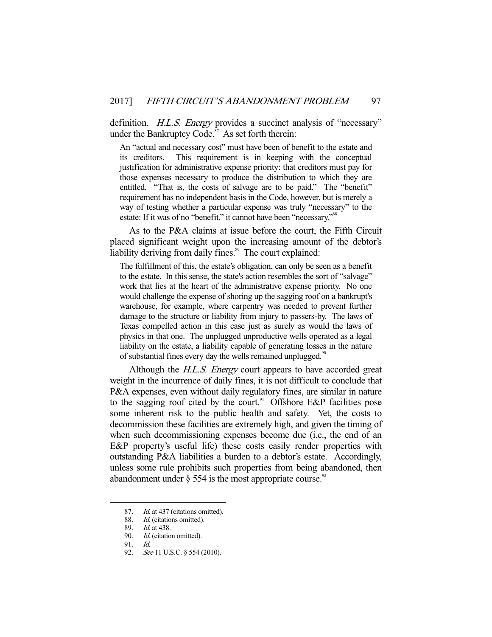definition. *H.L.S. Energy* provides a succinct analysis of "necessary" under the Bankruptcy Code.<sup>87</sup> As set forth therein:

An "actual and necessary cost" must have been of benefit to the estate and its creditors. This requirement is in keeping with the conceptual justification for administrative expense priority: that creditors must pay for those expenses necessary to produce the distribution to which they are entitled. "That is, the costs of salvage are to be paid." The "benefit" requirement has no independent basis in the Code, however, but is merely a way of testing whether a particular expense was truly "necessary" to the estate: If it was of no "benefit," it cannot have been "necessary."<sup>88</sup>

 As to the P&A claims at issue before the court, the Fifth Circuit placed significant weight upon the increasing amount of the debtor's liability deriving from daily fines.<sup>89</sup> The court explained:

The fulfillment of this, the estate's obligation, can only be seen as a benefit to the estate. In this sense, the state's action resembles the sort of "salvage" work that lies at the heart of the administrative expense priority. No one would challenge the expense of shoring up the sagging roof on a bankrupt's warehouse, for example, where carpentry was needed to prevent further damage to the structure or liability from injury to passers-by. The laws of Texas compelled action in this case just as surely as would the laws of physics in that one. The unplugged unproductive wells operated as a legal liability on the estate, a liability capable of generating losses in the nature of substantial fines every day the wells remained unplugged.<sup>90</sup>

Although the *H.L.S. Energy* court appears to have accorded great weight in the incurrence of daily fines, it is not difficult to conclude that P&A expenses, even without daily regulatory fines, are similar in nature to the sagging roof cited by the court.<sup>91</sup> Offshore E&P facilities pose some inherent risk to the public health and safety. Yet, the costs to decommission these facilities are extremely high, and given the timing of when such decommissioning expenses become due (i.e., the end of an E&P property's useful life) these costs easily render properties with outstanding P&A liabilities a burden to a debtor's estate. Accordingly, unless some rule prohibits such properties from being abandoned, then abandonment under  $\S$  554 is the most appropriate course.<sup>92</sup>

<sup>87.</sup> Id. at 437 (citations omitted).

<sup>88.</sup> *Id.* (citations omitted).

 <sup>89.</sup> Id. at 438.

<sup>90.</sup> Id. (citation omitted).

<sup>91.</sup> *Id.*<br>92. *Se* 

See 11 U.S.C. § 554 (2010).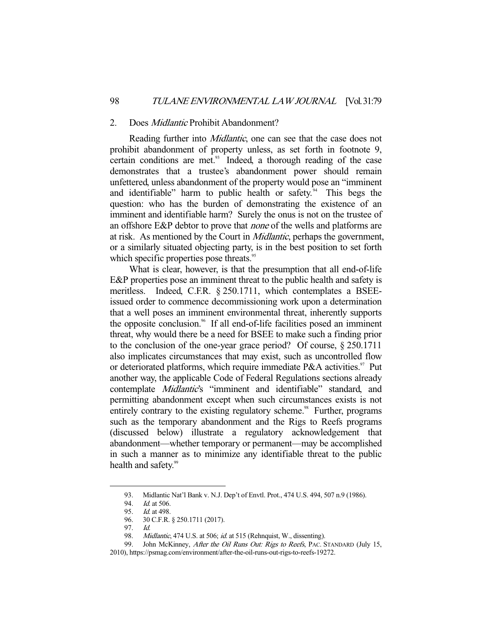#### 2. Does Midlantic Prohibit Abandonment?

Reading further into *Midlantic*, one can see that the case does not prohibit abandonment of property unless, as set forth in footnote 9, certain conditions are met.<sup>93</sup> Indeed, a thorough reading of the case demonstrates that a trustee's abandonment power should remain unfettered, unless abandonment of the property would pose an "imminent and identifiable" harm to public health or safety. This begs the question: who has the burden of demonstrating the existence of an imminent and identifiable harm? Surely the onus is not on the trustee of an offshore E&P debtor to prove that none of the wells and platforms are at risk. As mentioned by the Court in Midlantic, perhaps the government, or a similarly situated objecting party, is in the best position to set forth which specific properties pose threats.<sup>95</sup>

 What is clear, however, is that the presumption that all end-of-life E&P properties pose an imminent threat to the public health and safety is meritless. Indeed, C.F.R. § 250.1711, which contemplates a BSEEissued order to commence decommissioning work upon a determination that a well poses an imminent environmental threat, inherently supports the opposite conclusion.96 If all end-of-life facilities posed an imminent threat, why would there be a need for BSEE to make such a finding prior to the conclusion of the one-year grace period? Of course, § 250.1711 also implicates circumstances that may exist, such as uncontrolled flow or deteriorated platforms, which require immediate P&A activities.<sup>97</sup> Put another way, the applicable Code of Federal Regulations sections already contemplate Midlantic's "imminent and identifiable" standard, and permitting abandonment except when such circumstances exists is not entirely contrary to the existing regulatory scheme.<sup>98</sup> Further, programs such as the temporary abandonment and the Rigs to Reefs programs (discussed below) illustrate a regulatory acknowledgement that abandonment—whether temporary or permanent—may be accomplished in such a manner as to minimize any identifiable threat to the public health and safety.<sup>99</sup>

 <sup>93.</sup> Midlantic Nat'l Bank v. N.J. Dep't of Envtl. Prot., 474 U.S. 494, 507 n.9 (1986).

<sup>94.</sup> *Id.* at 506.

<sup>95.</sup> *Id.* at 498.

 <sup>96. 30</sup> C.F.R. § 250.1711 (2017).

 <sup>97.</sup> Id.

<sup>98.</sup> Midlantic, 474 U.S. at 506; id. at 515 (Rehnquist, W., dissenting).<br>99. John McKinney. After the Oil Runs Out: Rigs to Reefs. PAC. S

John McKinney, After the Oil Runs Out: Rigs to Reefs, PAC. STANDARD (July 15,

<sup>2010),</sup> https://psmag.com/environment/after-the-oil-runs-out-rigs-to-reefs-19272.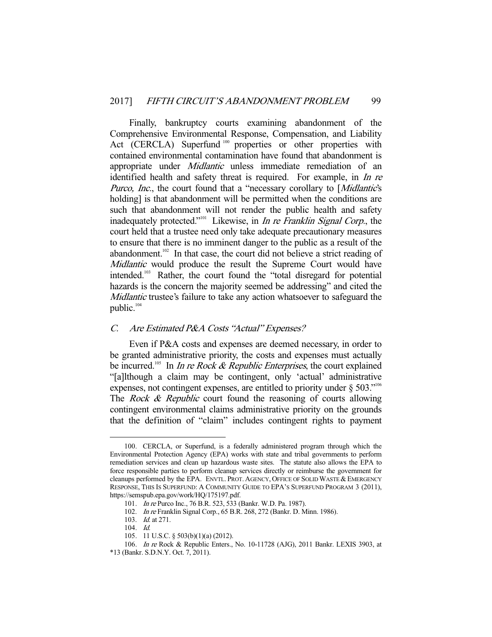Finally, bankruptcy courts examining abandonment of the Comprehensive Environmental Response, Compensation, and Liability Act (CERCLA) Superfund<sup>100</sup> properties or other properties with contained environmental contamination have found that abandonment is appropriate under Midlantic unless immediate remediation of an identified health and safety threat is required. For example, in *In re* Purco, Inc., the court found that a "necessary corollary to [Midlantic's holding] is that abandonment will be permitted when the conditions are such that abandonment will not render the public health and safety inadequately protected."<sup>101</sup> Likewise, in *In re Franklin Signal Corp.*, the court held that a trustee need only take adequate precautionary measures to ensure that there is no imminent danger to the public as a result of the abandonment.<sup>102</sup> In that case, the court did not believe a strict reading of Midlantic would produce the result the Supreme Court would have intended.103 Rather, the court found the "total disregard for potential hazards is the concern the majority seemed be addressing" and cited the Midlantic trustee's failure to take any action whatsoever to safeguard the public.<sup>104</sup>

## C. Are Estimated P&A Costs "Actual" Expenses?

 Even if P&A costs and expenses are deemed necessary, in order to be granted administrative priority, the costs and expenses must actually be incurred.<sup>105</sup> In *In re Rock & Republic Enterprises*, the court explained "[a]lthough a claim may be contingent, only 'actual' administrative expenses, not contingent expenses, are entitled to priority under  $\S 503$ ."<sup>106</sup> The *Rock & Republic* court found the reasoning of courts allowing contingent environmental claims administrative priority on the grounds that the definition of "claim" includes contingent rights to payment

 <sup>100.</sup> CERCLA, or Superfund, is a federally administered program through which the Environmental Protection Agency (EPA) works with state and tribal governments to perform remediation services and clean up hazardous waste sites. The statute also allows the EPA to force responsible parties to perform cleanup services directly or reimburse the government for cleanups performed by the EPA. ENVTL. PROT. AGENCY, OFFICE OF SOLID WASTE & EMERGENCY RESPONSE, THIS IS SUPERFUND: A COMMUNITY GUIDE TO EPA'S SUPERFUND PROGRAM 3 (2011), https://semspub.epa.gov/work/HQ/175197.pdf.

 <sup>101.</sup> In re Purco Inc., 76 B.R. 523, 533 (Bankr. W.D. Pa. 1987).

 <sup>102.</sup> In re Franklin Signal Corp., 65 B.R. 268, 272 (Bankr. D. Minn. 1986).

 <sup>103.</sup> Id. at 271.

 <sup>104.</sup> Id.

 <sup>105. 11</sup> U.S.C. § 503(b)(1)(a) (2012).

 <sup>106.</sup> In re Rock & Republic Enters., No. 10-11728 (AJG), 2011 Bankr. LEXIS 3903, at

<sup>\*13 (</sup>Bankr. S.D.N.Y. Oct. 7, 2011).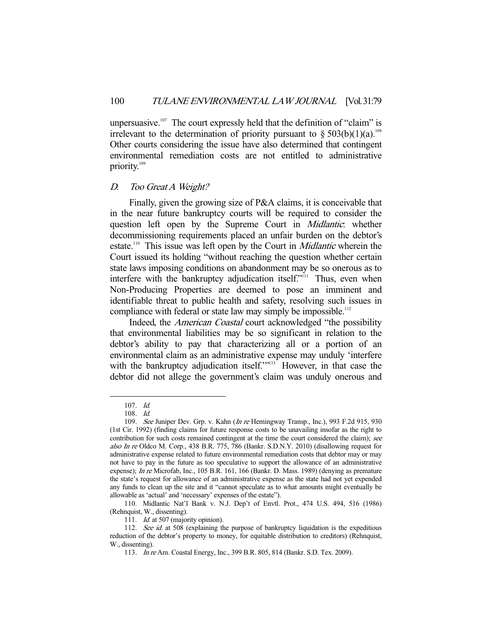unpersuasive.<sup>107</sup> The court expressly held that the definition of "claim" is irrelevant to the determination of priority pursuant to  $\S 503(b)(1)(a)$ .<sup>108</sup> Other courts considering the issue have also determined that contingent environmental remediation costs are not entitled to administrative priority.<sup>109</sup>

#### D. Too Great A Weight?

 Finally, given the growing size of P&A claims, it is conceivable that in the near future bankruptcy courts will be required to consider the question left open by the Supreme Court in *Midlantic*: whether decommissioning requirements placed an unfair burden on the debtor's estate.<sup>110</sup> This issue was left open by the Court in *Midlantic* wherein the Court issued its holding "without reaching the question whether certain state laws imposing conditions on abandonment may be so onerous as to interfere with the bankruptcy adjudication itself."<sup>111</sup> Thus, even when Non-Producing Properties are deemed to pose an imminent and identifiable threat to public health and safety, resolving such issues in compliance with federal or state law may simply be impossible.<sup>112</sup>

Indeed, the *American Coastal* court acknowledged "the possibility that environmental liabilities may be so significant in relation to the debtor's ability to pay that characterizing all or a portion of an environmental claim as an administrative expense may unduly 'interfere with the bankruptcy adjudication itself.""<sup>113</sup> However, in that case the debtor did not allege the government's claim was unduly onerous and

 <sup>107.</sup> Id.

 <sup>108.</sup> Id.

<sup>109.</sup> See Juniper Dev. Grp. v. Kahn (In re Hemingway Transp., Inc.), 993 F.2d 915, 930 (1st Cir. 1992) (finding claims for future response costs to be unavailing insofar as the right to contribution for such costs remained contingent at the time the court considered the claim); see also In re Oldco M. Corp., 438 B.R. 775, 786 (Bankr. S.D.N.Y. 2010) (disallowing request for administrative expense related to future environmental remediation costs that debtor may or may not have to pay in the future as too speculative to support the allowance of an administrative expense); *In re* Microfab, Inc., 105 B.R. 161, 166 (Bankr. D. Mass. 1989) (denying as premature the state's request for allowance of an administrative expense as the state had not yet expended any funds to clean up the site and it "cannot speculate as to what amounts might eventually be allowable as 'actual' and 'necessary' expenses of the estate").

 <sup>110.</sup> Midlantic Nat'l Bank v. N.J. Dep't of Envtl. Prot., 474 U.S. 494, 516 (1986) (Rehnquist, W., dissenting).

<sup>111.</sup> *Id.* at 507 (majority opinion).

<sup>112.</sup> See id. at 508 (explaining the purpose of bankruptcy liquidation is the expeditious reduction of the debtor's property to money, for equitable distribution to creditors) (Rehnquist, W., dissenting).

 <sup>113.</sup> In re Am. Coastal Energy, Inc., 399 B.R. 805, 814 (Bankr. S.D. Tex. 2009).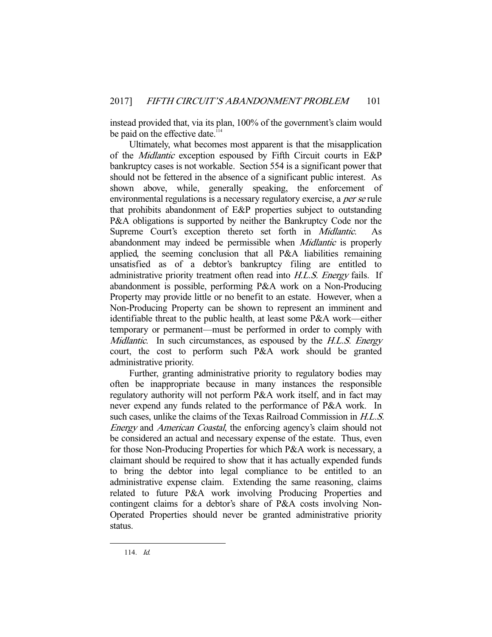instead provided that, via its plan, 100% of the government's claim would be paid on the effective date.<sup>11</sup>

 Ultimately, what becomes most apparent is that the misapplication of the Midlantic exception espoused by Fifth Circuit courts in E&P bankruptcy cases is not workable. Section 554 is a significant power that should not be fettered in the absence of a significant public interest. As shown above, while, generally speaking, the enforcement of environmental regulations is a necessary regulatory exercise, a *per se* rule that prohibits abandonment of E&P properties subject to outstanding P&A obligations is supported by neither the Bankruptcy Code nor the Supreme Court's exception thereto set forth in Midlantic. abandonment may indeed be permissible when Midlantic is properly applied, the seeming conclusion that all P&A liabilities remaining unsatisfied as of a debtor's bankruptcy filing are entitled to administrative priority treatment often read into H.L.S. Energy fails. If abandonment is possible, performing P&A work on a Non-Producing Property may provide little or no benefit to an estate. However, when a Non-Producing Property can be shown to represent an imminent and identifiable threat to the public health, at least some P&A work—either temporary or permanent—must be performed in order to comply with Midlantic. In such circumstances, as espoused by the H.L.S. Energy court, the cost to perform such P&A work should be granted administrative priority.

 Further, granting administrative priority to regulatory bodies may often be inappropriate because in many instances the responsible regulatory authority will not perform P&A work itself, and in fact may never expend any funds related to the performance of P&A work. In such cases, unlike the claims of the Texas Railroad Commission in H.L.S. Energy and American Coastal, the enforcing agency's claim should not be considered an actual and necessary expense of the estate. Thus, even for those Non-Producing Properties for which P&A work is necessary, a claimant should be required to show that it has actually expended funds to bring the debtor into legal compliance to be entitled to an administrative expense claim. Extending the same reasoning, claims related to future P&A work involving Producing Properties and contingent claims for a debtor's share of P&A costs involving Non-Operated Properties should never be granted administrative priority status.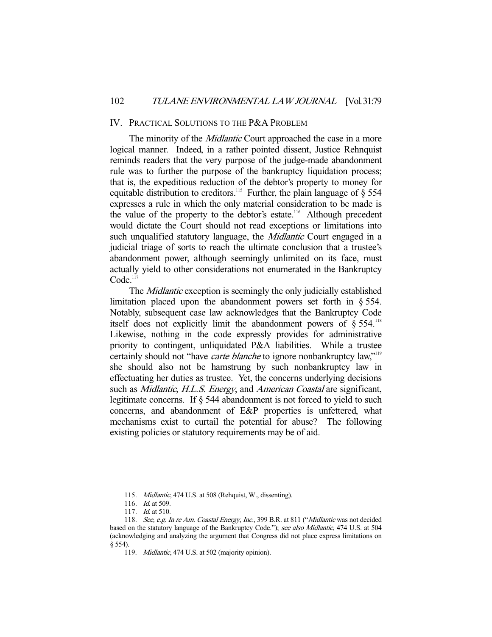#### IV. PRACTICAL SOLUTIONS TO THE P&A PROBLEM

The minority of the *Midlantic* Court approached the case in a more logical manner. Indeed, in a rather pointed dissent, Justice Rehnquist reminds readers that the very purpose of the judge-made abandonment rule was to further the purpose of the bankruptcy liquidation process; that is, the expeditious reduction of the debtor's property to money for equitable distribution to creditors.<sup>115</sup> Further, the plain language of  $\S$  554 expresses a rule in which the only material consideration to be made is the value of the property to the debtor's estate.<sup>116</sup> Although precedent would dictate the Court should not read exceptions or limitations into such unqualified statutory language, the *Midlantic* Court engaged in a judicial triage of sorts to reach the ultimate conclusion that a trustee's abandonment power, although seemingly unlimited on its face, must actually yield to other considerations not enumerated in the Bankruptcy  $Code<sup>117</sup>$ 

The *Midlantic* exception is seemingly the only judicially established limitation placed upon the abandonment powers set forth in § 554. Notably, subsequent case law acknowledges that the Bankruptcy Code itself does not explicitly limit the abandonment powers of  $\S 554$ .<sup>118</sup> Likewise, nothing in the code expressly provides for administrative priority to contingent, unliquidated P&A liabilities. While a trustee certainly should not "have *carte blanche* to ignore nonbankruptcy law,"<sup>119</sup> she should also not be hamstrung by such nonbankruptcy law in effectuating her duties as trustee. Yet, the concerns underlying decisions such as *Midlantic*, *H.L.S. Energy*, and *American Coastal* are significant, legitimate concerns. If § 544 abandonment is not forced to yield to such concerns, and abandonment of E&P properties is unfettered, what mechanisms exist to curtail the potential for abuse? The following existing policies or statutory requirements may be of aid.

 <sup>115.</sup> Midlantic, 474 U.S. at 508 (Rehquist, W., dissenting).

<sup>116.</sup> *Id.* at 509.

<sup>117.</sup> *Id.* at 510.

<sup>118.</sup> See, e.g. In re Am. Coastal Energy, Inc., 399 B.R. at 811 ("Midlantic was not decided based on the statutory language of the Bankruptcy Code."); see also Midlantic, 474 U.S. at 504 (acknowledging and analyzing the argument that Congress did not place express limitations on § 554).

 <sup>119.</sup> Midlantic, 474 U.S. at 502 (majority opinion).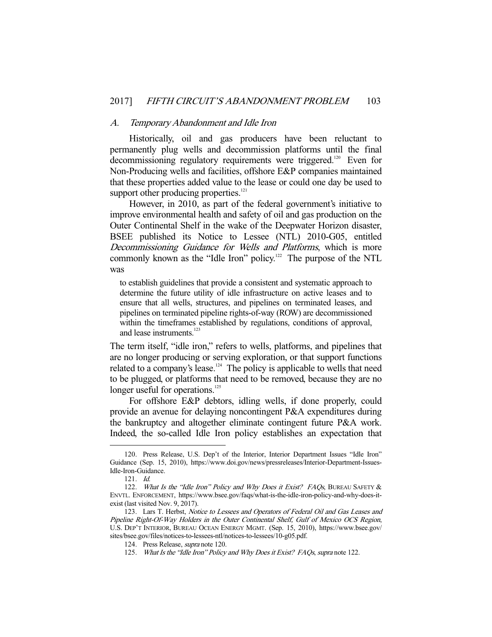#### A. Temporary Abandonment and Idle Iron

 Historically, oil and gas producers have been reluctant to permanently plug wells and decommission platforms until the final decommissioning regulatory requirements were triggered.<sup>120</sup> Even for Non-Producing wells and facilities, offshore E&P companies maintained that these properties added value to the lease or could one day be used to support other producing properties.<sup>121</sup>

 However, in 2010, as part of the federal government's initiative to improve environmental health and safety of oil and gas production on the Outer Continental Shelf in the wake of the Deepwater Horizon disaster, BSEE published its Notice to Lessee (NTL) 2010-G05, entitled Decommissioning Guidance for Wells and Platforms, which is more commonly known as the "Idle Iron" policy.<sup>122</sup> The purpose of the NTL was

to establish guidelines that provide a consistent and systematic approach to determine the future utility of idle infrastructure on active leases and to ensure that all wells, structures, and pipelines on terminated leases, and pipelines on terminated pipeline rights-of-way (ROW) are decommissioned within the timeframes established by regulations, conditions of approval, and lease instruments.<sup>123</sup>

The term itself, "idle iron," refers to wells, platforms, and pipelines that are no longer producing or serving exploration, or that support functions related to a company's lease.<sup>124</sup> The policy is applicable to wells that need to be plugged, or platforms that need to be removed, because they are no longer useful for operations.<sup>125</sup>

 For offshore E&P debtors, idling wells, if done properly, could provide an avenue for delaying noncontingent P&A expenditures during the bankruptcy and altogether eliminate contingent future P&A work. Indeed, the so-called Idle Iron policy establishes an expectation that

 <sup>120.</sup> Press Release, U.S. Dep't of the Interior, Interior Department Issues "Idle Iron" Guidance (Sep. 15, 2010), https://www.doi.gov/news/pressreleases/Interior-Department-Issues-Idle-Iron-Guidance.

 <sup>121.</sup> Id.

<sup>122.</sup> What Is the "Idle Iron" Policy and Why Does it Exist? FAQs, BUREAU SAFETY & ENVTL. ENFORCEMENT, https://www.bsee.gov/faqs/what-is-the-idle-iron-policy-and-why-does-itexist (last visited Nov. 9, 2017).

<sup>123.</sup> Lars T. Herbst, Notice to Lessees and Operators of Federal Oil and Gas Leases and Pipeline Right-Of-Way Holders in the Outer Continental Shelf, Gulf of Mexico OCS Region, U.S. DEP'T INTERIOR, BUREAU OCEAN ENERGY MGMT. (Sep. 15, 2010), https://www.bsee.gov/ sites/bsee.gov/files/notices-to-lessees-ntl/notices-to-lessees/10-g05.pdf.

 <sup>124.</sup> Press Release, supra note 120.

<sup>125.</sup> What Is the "Idle Iron" Policy and Why Does it Exist? FAQs, supra note 122.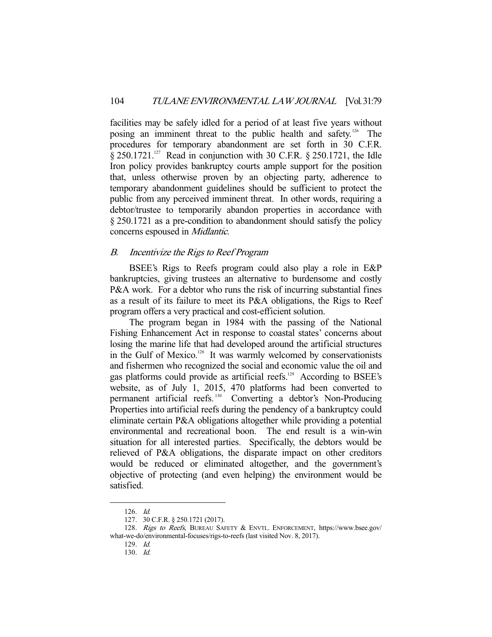facilities may be safely idled for a period of at least five years without posing an imminent threat to the public health and safety.126 The procedures for temporary abandonment are set forth in 30 C.F.R.  $\S 250.1721$ <sup>127</sup> Read in conjunction with 30 C.F.R.  $\S 250.1721$ , the Idle Iron policy provides bankruptcy courts ample support for the position that, unless otherwise proven by an objecting party, adherence to temporary abandonment guidelines should be sufficient to protect the public from any perceived imminent threat. In other words, requiring a debtor/trustee to temporarily abandon properties in accordance with § 250.1721 as a pre-condition to abandonment should satisfy the policy concerns espoused in Midlantic.

# B. Incentivize the Rigs to Reef Program

 BSEE's Rigs to Reefs program could also play a role in E&P bankruptcies, giving trustees an alternative to burdensome and costly P&A work. For a debtor who runs the risk of incurring substantial fines as a result of its failure to meet its P&A obligations, the Rigs to Reef program offers a very practical and cost-efficient solution.

 The program began in 1984 with the passing of the National Fishing Enhancement Act in response to coastal states' concerns about losing the marine life that had developed around the artificial structures in the Gulf of Mexico.<sup>128</sup> It was warmly welcomed by conservationists and fishermen who recognized the social and economic value the oil and gas platforms could provide as artificial reefs.<sup>129</sup> According to BSEE's website, as of July 1, 2015, 470 platforms had been converted to permanent artificial reefs. 130 Converting a debtor's Non-Producing Properties into artificial reefs during the pendency of a bankruptcy could eliminate certain P&A obligations altogether while providing a potential environmental and recreational boon. The end result is a win-win situation for all interested parties. Specifically, the debtors would be relieved of P&A obligations, the disparate impact on other creditors would be reduced or eliminated altogether, and the government's objective of protecting (and even helping) the environment would be satisfied.

 <sup>126.</sup> Id.

 <sup>127. 30</sup> C.F.R. § 250.1721 (2017).

<sup>128.</sup> Rigs to Reefs, BUREAU SAFETY & ENVTL. ENFORCEMENT, https://www.bsee.gov/ what-we-do/environmental-focuses/rigs-to-reefs (last visited Nov. 8, 2017).

 <sup>129.</sup> Id.

 <sup>130.</sup> Id.